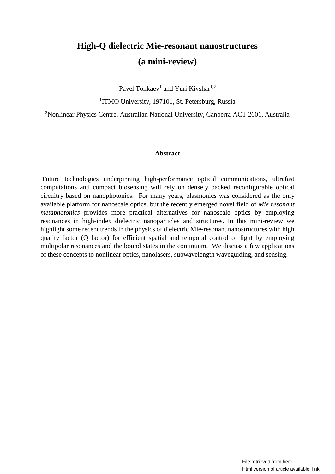# **High-Q dielectric Mie-resonant nanostructures (a mini-review)**

Pavel Tonkaev<sup>1</sup> and Yuri Kivshar<sup>1,2</sup>

<sup>1</sup>ITMO University, 197101, St. Petersburg, Russia

<sup>2</sup>Nonlinear Physics Centre, Australian National University, Canberra ACT 2601, Australia

## **Abstract**

Future technologies underpinning high-performance optical communications, ultrafast computations and compact biosensing will rely on densely packed reconfigurable optical circuitry based on nanophotonics. For many years, plasmonics was considered as the only available platform for nanoscale optics, but the recently emerged novel field of *Mie resonant metaphotonics* provides more practical alternatives for nanoscale optics by employing resonances in high-index dielectric nanoparticles and structures. In this mini-review we highlight some recent trends in the physics of dielectric Mie-resonant nanostructures with high quality factor (Q factor) for efficient spatial and temporal control of light by employing multipolar resonances and the bound states in the continuum. We discuss a few applications of these concepts to nonlinear optics, nanolasers, subwavelength waveguiding, and sensing.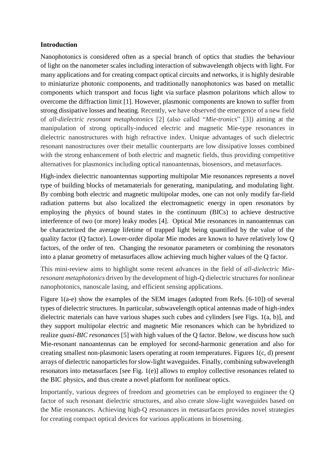# **Introduction**

Nanophotonics [is considered often as a special branch of optics that studies the behaviour](https://photonics101.com/) of [light](https://en.wikipedia.org/wiki/Light) on the nanometer scales including interaction of subwavelength objects with light. For many applications and for creating compact optical circuits and networks, it is highly desirable to miniaturize photonic components, and traditionally nanophotonics was based on metallic components which transport and focus light via [surface plasmon polaritons](https://en.wikipedia.org/wiki/Surface_plasmon_polariton) which allow to overcome the diffraction limit [1]. However, plasmonic components are known to suffer from strong dissipative losses and heating. Recently, we have observed the emergence of a new field of *all-dielectric resonant metaphotonics* [2] (also called "*Mie-tronics*" [3]) aiming at the manipulation of strong optically-induced electric and magnetic Mie-type resonances in dielectric nanostructures with high refractive index. Unique advantages of such dielectric resonant nanostructures over their metallic counterparts are low dissipative losses combined with the strong enhancement of both electric and magnetic fields, thus providing competitive alternatives for plasmonics including optical nanoantennas, biosensors, and metasurfaces.

High-index dielectric nanoantennas supporting multipolar Mie resonances represents a novel type of building blocks of metamaterials for generating, manipulating, and modulating light. By combing both electric and magnetic multipolar modes, one can not only modify far-field radiation patterns but also localized the electromagnetic energy in open resonators by employing the physics of bound states in the continuum (BICs) to achieve destructive interference of two (or more) leaky modes [4]. Optical Mie resonances in nanoantennas can be characterized the average lifetime of trapped light being quantified by the value of the quality factor (Q factor). Lower-order dipolar Mie modes are known to have relatively low Q factors, of the order of ten. Changing the resonator parameters or combining the resonators into a planar geometry of metasurfaces allow achieving much higher values of the Q factor.

This mini-review aims to highlight some recent advances in the field of *all-dielectric Mieresonant metaphotonics* driven by the development of high-Q dielectric structures for nonlinear nanophotonics, nanoscale lasing, and efficient sensing applications.

Figure 1(a-e) show the examples of the SEM images (adopted from Refs. [6-10]) of several types of dielectric structures. In particular, subwavelength optical antennas made of high-index dielectric materials can have various shapes such cubes and cylinders [see Figs. 1(a, b)], and they support multipolar electric and magnetic Mie resonances which can be hybridized to realize *quasi-BIC resonances* [5] with high values of the Q factor. Below, we discuss how such Mie-resonant nanoantennas can be employed for second-harmonic generation and also for creating smallest non-plasmonic lasers operating at room temperatures. Figures 1(c, d) present arrays of dielectric nanoparticles for slow-light waveguides. Finally, combining subwavelength resonators into metasurfaces [see Fig. 1(e)] allows to employ collective resonances related to the BIC physics, and thus create a novel platform for nonlinear optics.

Importantly, various degrees of freedom and geometries can be employed to engineer the Q factor of such resonant dielectric structures, and also create slow-light waveguides based on the Mie resonances. Achieving high-Q resonances in metasurfaces provides novel strategies for creating compact optical devices for various applications in biosensing.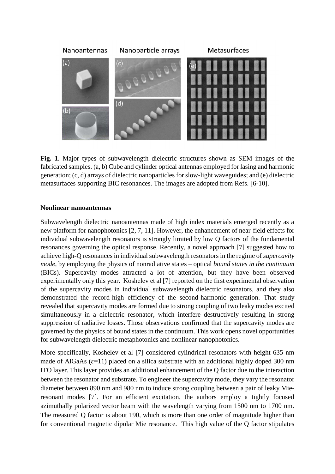

**Fig. 1**. Major types of subwavelength dielectric structures shown as SEM images of the fabricated samples. (a, b) Cube and cylinder optical antennas employed for lasing and harmonic generation; (c, d) arrays of dielectric nanoparticles for slow-light waveguides; and (e) dielectric metasurfaces supporting BIC resonances. The images are adopted from Refs. [6-10].

## **Nonlinear nanoantennas**

Subwavelength dielectric nanoantennas made of high index materials emerged recently as a new platform for nanophotonics [2, 7, 11]. However, the enhancement of near-field effects for individual subwavelength resonators is strongly limited by low Q factors of the fundamental resonances governing the optical response. Recently, a novel approach [7] suggested how to achieve high-Q resonances in individual subwavelength resonators in the regime of *supercavity mode*, by employing the physics of nonradiative states – optical *bound states in the continuum* (BICs). Supercavity modes attracted a lot of attention, but they have been observed experimentally only this year. Koshelev et al [7] reported on the first experimental observation of the supercavity modes in individual subwavelength dielectric resonators, and they also demonstrated the record-high efficiency of the second-harmonic generation. That study revealed that supercavity modes are formed due to strong coupling of two leaky modes excited simultaneously in a dielectric resonator, which interfere destructively resulting in strong suppression of radiative losses. Those observations confirmed that the supercavity modes are governed by the physics of bound states in the continuum. This work opens novel opportunities for subwavelength dielectric metaphotonics and nonlinear nanophotonics.

More specifically, Koshelev et al [7] considered cylindrical resonators with height 635 nm made of AlGaAs ( $\varepsilon$ =11) placed on a silica substrate with an additional highly doped 300 nm ITO layer. This layer provides an additional enhancement of the Q factor due to the interaction between the resonator and substrate. To engineer the supercavity mode, they vary the resonator diameter between 890 nm and 980 nm to induce strong coupling between a pair of leaky Mieresonant modes [7]. For an efficient excitation, the authors employ a tightly focused azimuthally polarized vector beam with the wavelength varying from 1500 nm to 1700 nm. The measured Q factor is about 190, which is more than one order of magnitude higher than for conventional magnetic dipolar Mie resonance. This high value of the Q factor stipulates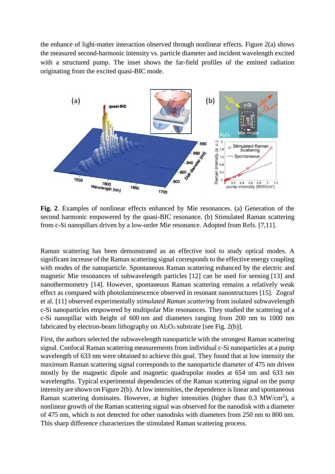the enhance of light-matter interaction observed through nonlinear effects. Figure 2(a) shows the measured second-harmonic intensity vs. particle diameter and incident wavelength excited with a structured pump. The inset shows the far-field profiles of the emitted radiation originating from the excited quasi-BIC mode.



**Fig. 2**. Examples of nonlinear effects enhanced by Mie resonances. (a) Generation of the second harmonic empowered by the quasi-BIC resonance. (b) Stimulated Raman scattering from c-Si nanopillars driven by a low-order Mie resonance. Adopted from Refs. [7,11].

Raman scattering has been demonstrated as an effective tool to study optical modes. A significant increase of the Raman scattering signal corresponds to the effective energy coupling with modes of the nanoparticle. Spontaneous Raman scattering enhanced by the electric and magnetic Mie resonances of subwavelength particles [12] can be used for sensing [13] and nanothermometry [14]. However, spontaneous Raman scattering remains a relatively weak effect as compared with photoluminescence observed in resonant nanostructures [15]. Zograf et al. [11] observed experimentally *stimulated Raman scattering* from isolated subwavelength c-Si nanoparticles empowered by multipolar Mie resonances. They studied the scattering of a c-Si nanopillar with height of 600 nm and diameters ranging from 200 nm to 1000 nm fabricated by electron-beam lithography on  $Al_2O_3$  substrate [see Fig. 2(b)].

First, the authors selected the subwavelength nanoparticle with the strongest Raman scattering signal. Confocal Raman scattering measurements from individual c-Si nanoparticles at a pump wavelength of 633 nm were obtained to achieve this goal. They found that at low intensity the maximum Raman scattering signal corresponds to the nanoparticle diameter of 475 nm driven mostly by the magnetic dipole and magnetic quadrupolar modes at 654 nm and 633 nm wavelengths. Typical experimental dependencies of the Raman scattering signal on the pump intensity are shown on Figure 2(b). At low intensities, the dependence is linear and spontaneous Raman scattering dominates. However, at higher intensities (higher than  $0.3 \text{ MW/cm}^2$ ), a nonlinear growth of the Raman scattering signal was observed for the nanodisk with a diameter of 475 nm, which is not detected for other nanodisks with diameters from 250 nm to 800 nm. This sharp difference characterizes the stimulated Raman scattering process.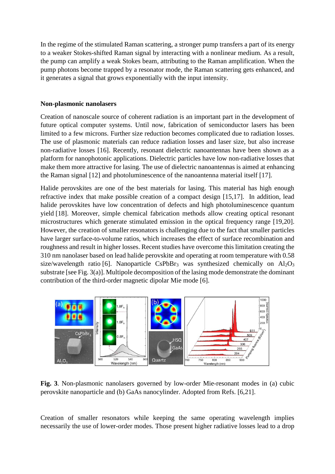In the regime of the stimulated Raman scattering, a stronger pump transfers a part of its energy to a weaker Stokes-shifted Raman signal by interacting with a nonlinear medium. As a result, the pump can amplify a weak Stokes beam, attributing to the Raman amplification. When the pump photons become trapped by a resonator mode, the Raman scattering gets enhanced, and it generates a signal that grows exponentially with the input intensity.

## **Non-plasmonic nanolasers**

Creation of nanoscale source of coherent radiation is an important part in the development of future optical computer systems. Until now, fabrication of semiconductor lasers has been limited to a few microns. Further size reduction becomes complicated due to radiation losses. The use of plasmonic materials can reduce radiation losses and laser size, but also increase non-radiative losses [16]. Recently, resonant dielectric nanoantennas have been shown as a platform for nanophotonic applications. Dielectric particles have low non-radiative losses that make them more attractive for lasing. The use of dielectric nanoantennas is aimed at enhancing the Raman signal [12] and photoluminescence of the nanoantenna material itself [17].

Halide perovskites are one of the best materials for lasing. This material has high enough refractive index that make possible creation of a compact design [15,17]. In addition, lead halide perovskites have low concentration of defects and high photoluminescence quantum yield [18]. Moreover, simple chemical fabrication methods allow creating optical resonant microstructures which generate stimulated emission in the optical frequency range [19,20]. However, the creation of smaller resonators is challenging due to the fact that smaller particles have larger surface-to-volume ratios, which increases the effect of surface recombination and roughness and result in higher losses. Recent studies have overcome this limitation creating the 310 nm nanolaser based on lead halide perovskite and operating at room temperature with 0.58 size/wavelength ratio [6]. Nanoparticle CsPbBr<sub>3</sub> was synthesized chemically on  $Al_2O_3$ substrate [see Fig. 3(a)]. Multipole decomposition of the lasing mode demonstrate the dominant contribution of the third-order magnetic dipolar Mie mode [6].



**Fig. 3**. Non-plasmonic nanolasers governed by low-order Mie-resonant modes in (a) cubic perovskite nanoparticle and (b) GaAs nanocylinder. Adopted from Refs. [6,21].

Creation of smaller resonators while keeping the same operating wavelength implies necessarily the use of lower-order modes. Those present higher radiative losses lead to a drop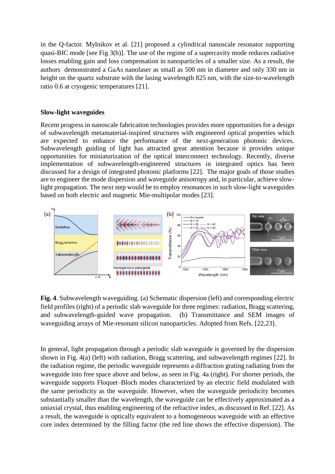in the Q-factor. Mylnikov et al. [21] proposed a cylindrical nanoscale resonator supporting quasi-BIC mode [see Fig 3(b)]. The use of the regime of a supercavity mode reduces radiative losses enabling gain and loss compensation in nanoparticles of a smaller size. As a result, the authors demonstrated a GaAs nanolaser as small as 500 nm in diameter and only 330 nm in height on the quartz substrate with the lasing wavelength 825 nm, with the size-to-wavelength ratio 0.6 at cryogenic temperatures [21].

#### **Slow-light waveguides**

Recent progress in nanoscale fabrication technologies provides more opportunities for a design of subwavelength metamaterial-inspired structures with engineered optical properties which are expected to enhance the performance of the next-generation photonic devices. Subwavelength guiding of light has attracted great attention because it provides unique opportunities for miniaturization of the optical interconnect technology. Recently, diverse implementation of subwavelength-engineered structures in integrated optics has been discussed for a design of integrated photonic platforms [22]. The major goals of those studies are to engineer the mode dispersion and waveguide anisotropy and, in particular, achieve slowlight propagation. The next step would be to employ resonances in such slow-light waveguides based on both electric and magnetic Mie-multipolar modes [23].



**Fig. 4**. Subwavelength waveguiding. (a) Schematic dispersion (left) and corresponding electric field profiles (right) of a periodic slab waveguide for three regimes: radiation, Bragg scattering, and subwavelength-guided wave propagation. (b) Transmittance and SEM images of waveguiding arrays of Mie-resonant silicon nanoparticles. Adopted from Refs. [22,23].

In general, light propagation through a periodic slab waveguide is governed by the dispersion shown in Fig. 4(a) (left) with radiation, Bragg scattering, and subwavelength regimes [22]. In the radiation regime, the periodic waveguide represents a diffraction grating radiating from the waveguide into free space above and below, as seen in Fig. 4a (right). For shorter periods, the waveguide supports Floquet–Bloch modes characterized by an electric field modulated with the same periodicity as the waveguide. However, when the waveguide periodicity becomes substantially smaller than the wavelength, the waveguide can be effectively approximated as a uniaxial crystal, thus enabling engineering of the refractive index, as discussed in Ref. [22]. As a result, the waveguide is optically equivalent to a homogeneous waveguide with an effective core index determined by the filling factor (the red line shows the effective dispersion). The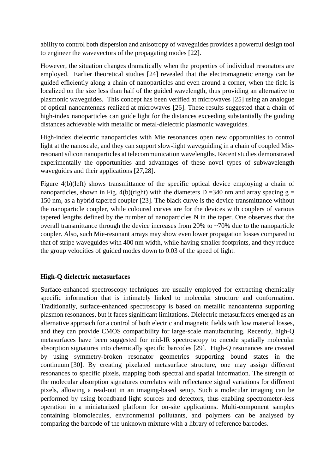ability to control both dispersion and anisotropy of waveguides provides a powerful design tool to engineer the wavevectors of the propagating modes [22].

However, the situation changes dramatically when the properties of individual resonators are employed. Earlier theoretical studies [24] revealed that the electromagnetic energy can be guided efficiently along a chain of nanoparticles and even around a corner, when the field is localized on the size less than half of the guided wavelength, thus providing an alternative to plasmonic waveguides. This concept has been verified at microwaves [25] using an analogue of optical nanoantennas realized at microwaves [26]. These results suggested that a chain of high-index nanoparticles can guide light for the distances exceeding substantially the guiding distances achievable with metallic or metal-dielectric plasmonic waveguides.

High-index dielectric nanoparticles with Mie resonances open new opportunities to control light at the nanoscale, and they can support slow-light waveguiding in a chain of coupled Mieresonant silicon nanoparticles at telecommunication wavelengths. Recent studies demonstrated experimentally the opportunities and advantages of these novel types of subwavelength waveguides and their applications [27,28].

Figure 4(b)(left) shows transmittance of the specific optical device employing a chain of nanoparticles, shown in Fig. 4(b)(right) with the diameters D =340 nm and array spacing  $g =$ 150 nm, as a hybrid tapered coupler [23]. The black curve is the device transmittance without the nanoparticle coupler, while coloured curves are for the devices with couplers of various tapered lengths defined by the number of nanoparticles N in the taper. One observes that the overall transmittance through the device increases from 20% to  $\sim$ 70% due to the nanoparticle coupler. Also, such Mie-resonant arrays may show even lower propagation losses compared to that of stripe waveguides with 400 nm width, while having smaller footprints, and they reduce the group velocities of guided modes down to 0.03 of the speed of light.

# **High-Q dielectric metasurfaces**

Surface-enhanced spectroscopy techniques are usually employed for extracting chemically specific information that is intimately linked to molecular structure and conformation. Traditionally, surface-enhanced spectroscopy is based on metallic nanoantenna supporting plasmon resonances, but it faces significant limitations. Dielectric metasurfaces emerged as an alternative approach for a control of both electric and magnetic fields with low material losses, and they can provide CMOS compatibility for large-scale manufacturing. Recently, high-Q metasurfaces have been suggested for mid-IR spectroscopy to encode spatially molecular absorption signatures into chemically specific barcodes [29]. High-Q resonances are created by using symmetry-broken resonator geometries supporting bound states in the continuum [30]. By creating pixelated metasurface structure, one may assign different resonances to specific pixels, mapping both spectral and spatial information. The strength of the molecular absorption signatures correlates with reflectance signal variations for different pixels, allowing a read-out in an imaging-based setup. Such a molecular imaging can be performed by using broadband light sources and detectors, thus enabling spectrometer-less operation in a miniaturized platform for on-site applications. Multi-component samples containing biomolecules, environmental pollutants, and polymers can be analysed by comparing the barcode of the unknown mixture with a library of reference barcodes.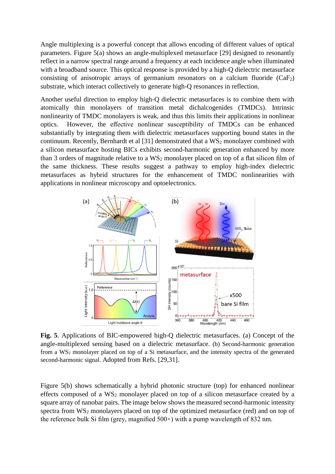Angle multiplexing is a powerful concept that allows encoding of different values of optical parameters. Figure 5(a) shows an angle-multiplexed metasurface [29] designed to resonantly reflect in a narrow spectral range around a frequency at each incidence angle when illuminated with a broadband source. This optical response is provided by a high-Q dielectric metasurface consisting of anisotropic arrays of germanium resonators on a calcium fluoride  $(CaF_2)$ substrate, which interact collectively to generate high-Q resonances in reflection.

Another useful direction to employ high-Q dielectric metasurfaces is to combine them with atomically thin monolayers of transition metal dichalcogenides (TMDCs). Intrinsic nonlinearity of TMDC monolayers is weak, and thus this limits their applications in nonlinear optics. However, the effective nonlinear susceptibility of TMDCs can be enhanced substantially by integrating them with dielectric metasurfaces supporting bound states in the continuum. Recently, Bernhardt et al [31] demonstrated that a WS<sub>2</sub> monolayer combined with a silicon metasurface hosting BICs exhibits second-harmonic generation enhanced by more than 3 orders of magnitude relative to a  $WS_2$  monolayer placed on top of a flat silicon film of the same thickness. These results suggest a pathway to employ high-index dielectric metasurfaces as hybrid structures for the enhancement of TMDC nonlinearities with applications in nonlinear microscopy and optoelectronics.



**Fig. 5**. Applications of BIC-empowered high-Q dielectric metasurfaces. (a) Concept of the angle-multiplexed sensing based on a dielectric metasurface. (b) Second-harmonic generation from a WS<sup>2</sup> monolayer placed on top of a Si metasurface, and the intensity spectra of the generated second-harmonic signal. Adopted from Refs. [29,31].

Figure 5(b) shows schematically a hybrid photonic structure (top) for enhanced nonlinear effects composed of a WS<sup>2</sup> monolayer placed on top of a silicon metasurface created by a square array of nanobar pairs. The image below shows the measured second-harmonic intensity spectra from WS<sub>2</sub> monolayers placed on top of the optimized metasurface (red) and on top of the reference bulk Si film (grey, magnified  $500\times$ ) with a pump wavelength of 832 nm.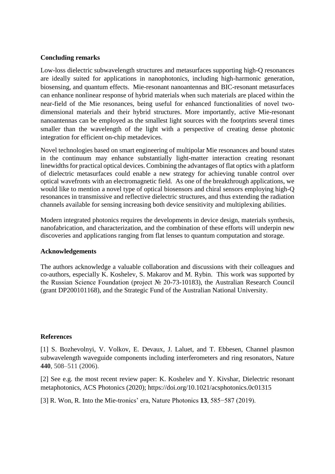# **Concluding remarks**

Low-loss dielectric subwavelength structures and metasurfaces supporting high-Q resonances are ideally suited for applications in nanophotonics, including high-harmonic generation, biosensing, and quantum effects. Mie-resonant nanoantennas and BIC-resonant metasurfaces can enhance nonlinear response of hybrid materials when such materials are placed within the near-field of the Mie resonances, being useful for enhanced functionalities of novel twodimensional materials and their hybrid structures. More importantly, active Mie-resonant nanoantennas can be employed as the smallest light sources with the footprints several times smaller than the wavelength of the light with a perspective of creating dense photonic integration for efficient on-chip metadevices.

Novel technologies based on smart engineering of multipolar Mie resonances and bound states in the continuum may enhance substantially light-matter interaction creating resonant linewidths for practical optical devices. Combining the advantages of flat optics with a platform of dielectric metasurfaces could enable a new strategy for achieving tunable control over optical wavefronts with an electromagnetic field. As one of the breakthrough applications, we would like to mention a novel type of optical biosensors and chiral sensors employing high-Q resonances in transmissive and reflective dielectric structures, and thus extending the radiation channels available for sensing increasing both device sensitivity and multiplexing abilities.

Modern integrated photonics requires the developments in device design, materials synthesis, nanofabrication, and characterization, and the combination of these efforts will underpin new discoveries and applications ranging from flat lenses to quantum computation and storage.

# **Acknowledgements**

The authors acknowledge a valuable collaboration and discussions with their colleagues and co-authors, especially K. Koshelev, S. Makarov and M. Rybin. This work was supported by the Russian Science Foundation (project № 20-73-10183), the Australian Research Council (grant DP200101168), and the Strategic Fund of the Australian National University.

# **References**

[1] S. Bozhevolnyi, V. Volkov, E. Devaux, J. Laluet, and T. Ebbesen, Channel plasmon subwavelength waveguide components including interferometers and ring resonators, Nature **440**, 508–511 (2006).

[2] See e.g. the most recent review paper: K. Koshelev and Y. Kivshar, Dielectric resonant metaphotonics, ACS Photonics (2020);<https://doi.org/10.1021/acsphotonics.0c01315>

[3] R. Won, R. Into the Mie-tronics' era, Nature Photonics **13**, 585−587 (2019).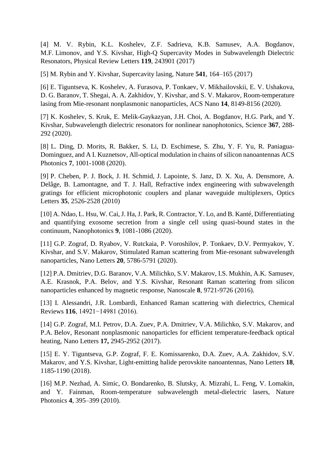[4] M. V. Rybin, K.L. Koshelev, Z.F. Sadrieva, K.B. Samusev, A.A. Bogdanov, M.F. Limonov, and Y.S. Kivshar, High-Q Supercavity Modes in Subwavelength Dielectric Resonators, Physical Review Letters **119**, 243901 (2017)

[5] M. Rybin and Y. Kivshar, Supercavity lasing, Nature **541**, 164–165 (2017)

[6] E. Tiguntseva, K. Koshelev, A. Furasova, P. Tonkaev, V. Mikhailovskii, E. V. Ushakova, D. G. Baranov, T. Shegai, A. A. Zakhidov, Y. Kivshar, and S. V. Makarov, Room-temperature lasing from Mie-resonant nonplasmonic nanoparticles, ACS Nano **14**, 8149-8156 (2020).

[7] K. Koshelev, S. Kruk, E. Melik-Gaykazyan, J.H. Choi, A. Bogdanov, H.G. Park, and Y. Kivshar, [Subwavelength dielectric resonators for nonlinear nanophotonics,](javascript:void(0)) Science **367**, 288- 292 (2020).

[8] L. Ding, D. Morits, R. Bakker, S. Li, D. Eschimese, S. Zhu, Y. F. Yu, R. Paniagua-Dominguez, and A I. Kuznetsov, All-optical modulation in chains of silicon nanoantennas ACS Photonics **7**, 1001-1008 (2020).

[9] P. Cheben, P. J. Bock, J. H. Schmid, J. Lapointe, S. Janz, D. X. Xu, A. Densmore, A. Delâge, B. Lamontagne, and T. J. Hall, Refractive index engineering with subwavelength gratings for efficient microphotonic couplers and planar waveguide multiplexers, Optics Letters **35**, 2526-2528 (2010)

[10] A. Ndao, L. Hsu, W. Cai, J. Ha, J. Park, R. Contractor, Y. Lo, and B. Kanté, Differentiating and quantifying exosome secretion from a single cell using quasi-bound states in the continuum, Nanophotonics **9**, 1081-1086 (2020).

[11] G.P. Zograf, D. Ryabov, V. Rutckaia, P. Voroshilov, P. Tonkaev, D.V. Permyakov, Y. Kivshar, and S.V. Makarov, [Stimulated Raman scattering from Mie-resonant subwavelength](https://pubs.acs.org/doi/abs/10.1021/acs.nanolett.0c01646)  [nanoparticles,](https://pubs.acs.org/doi/abs/10.1021/acs.nanolett.0c01646) Nano Letters **20**, 5786-5791 (2020).

[12] P.A. Dmitriev, D.G. Baranov, V.A. Milichko, S.V. Makarov, I.S. Mukhin, A.K. Samusev, A.E. Krasnok, P.A. Belov, and Y.S. Kivshar, Resonant Raman scattering from silicon nanoparticles enhanced by magnetic response, Nanoscale **8**, 9721-9726 (2016).

[13] I. Alessandri, J.R. Lombardi, Enhanced Raman scattering with dielectrics, Chemical Reviews **116**, 14921−14981 (2016).

[14] G.P. Zograf, M.I. Petrov, D.A. Zuev, P.A. Dmitriev, V.A. Milichko, S.V. Makarov, and P.A. Belov, Resonant nonplasmonic nanoparticles for efficient temperature-feedback optical heating, Nano Letters **17,** 2945-2952 (2017).

[15] E. Y. Tiguntseva, G.P. Zograf, F. E. Komissarenko, D.A. Zuev, A.A. Zakhidov, S.V. Makarov, and Y.S. Kivshar, Light-emitting halide perovskite nanoantennas, Nano Letters **18**, 1185-1190 (2018).

[16] M.P. Nezhad, A. Simic, O. Bondarenko, B. Slutsky, A. Mizrahi, L. Feng, V. Lomakin, and Y. Fainman, Room-temperature subwavelength metal-dielectric lasers, Nature Photonics **4**, 395–399 (2010).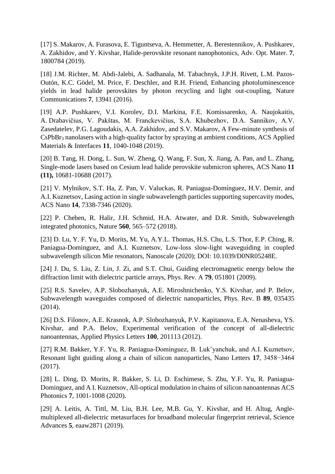[17] S. Makarov, A. Furasova, E. Tiguntseva, A. Hemmetter, A. Berestennikov, A. Pushkarev, A. Zakhidov, and Y. Kivshar, Halide-perovskite resonant nanophotonics, Adv. Opt. Mater. **7**, 1800784 (2019).

[18] J.M. Richter, M. Abdi-Jalebi, A. Sadhanala, M. Tabachnyk, J.P.H. Rivett, L.M. Pazos-Outón, K.C. Gödel, M. Price, F. Deschler, and R.H. Friend, Enhancing photoluminescence yields in lead halide perovskites by photon recycling and light out-coupling, Nature Communications **7**, 13941 (2016).

[19] A.P. Pushkarev, V.I. Korolev, D.I. Markina, F.E. Komissarenko, A. Naujokaitis, A. Drabavičius, V. Pakštas, M. Franckevičius, S.A. Khubezhov, D.A. Sannikov, A.V. Zasedatelev, P.G. Lagoudakis, A.A. Zakhidov, and S.V. Makarov, A Few-minute synthesis of  $CsPbBr<sub>3</sub>$  nanolasers with a high-quality factor by spraying at ambient conditions, ACS Applied Materials & Interfaces **11**, 1040-1048 (2019).

[20] B. Tang, H. Dong, L. Sun, W. Zheng, Q. Wang, F. Sun, X. Jiang, A. Pan, and L. Zhang, Single-mode lasers based on Cesium lead halide perovskite submicron spheres, ACS Nano **11 (11),** 10681-10688 (2017).

[21] V. Mylnikov, S.T. Ha, Z. Pan, V. Valuckas, R. Paniagua-Domínguez, H.V. Demir, and A.I. Kuznetsov, Lasing action in single subwavelength particles supporting supercavity modes, ACS Nano **14**, 7338-7346 (2020).

[22] P. Cheben, R. Halir, J.H. Schmid, H.A. Atwater, and D.R. Smith, Subwavelength integrated photonics, Nature **560**, 565–572 (2018).

[23] D. Lu, Y. F. Yu, D. Morits, M. Yu, A.Y.L. Thomas, H.S. Chu, L.S. Thor, E.P. Ching, R. Paniagua-Dominguez, and A.I. Kuznetsov, Low-loss slow-light waveguiding in coupled subwavelength silicon Mie resonators, Nanoscale (2020); DOI: 10.1039/D0NR05248E.

[24] J. Du, S. Liu, Z. Lin, J. Zi, and S.T. Chui, Guiding electromagnetic energy below the diffraction limit with dielectric particle arrays, Phys. Rev. A **79**, 051801 (2009).

[25] R.S. Savelev, A.P. Slobozhanyuk, A.E. Miroshnichenko, Y.S. Kivshar, and P. Belov, Subwavelength waveguides composed of dielectric nanoparticles, Phys. Rev. B **89**, 035435 (2014).

[26] D.S. Filonov, A.E. Krasnok, A.P. Slobozhanyuk, P.V. Kapitanova, E.A. Nenasheva, YS. Kivshar, and P.A. Belov, [Experimental verification of the concept of all-dielectric](https://aip.scitation.org/doi/abs/10.1063/1.4719209)  [nanoantennas,](https://aip.scitation.org/doi/abs/10.1063/1.4719209) Applied Physics Letters **100**, 201113 (2012).

[27] R.M. Bakker, Y.F. Yu, R. Paniagua-Domínguez, B. Luk'yanchuk, and A.I. Kuznetsov, Resonant light guiding along a chain of silicon nanoparticles, Nano Letters **17**, 3458−3464 (2017).

[28] L. Ding, D. Morits, R. Bakker, S. Li, D. Eschimese, S. Zhu, Y.F. Yu, R. Paniagua-Dominguez, and A I. Kuznetsov, All-optical modulation in chains of silicon nanoantennas ACS Photonics **7**, 1001-1008 (2020).

[29] A. Leitis, A. Tittl, M. Liu, B.H. Lee, M.B. Gu, Y. Kivshar, and H. Altug, Anglemultiplexed all-dielectric metasurfaces for broadband molecular fingerprint retrieval, Science Advances **5**, eaaw2871 (2019).